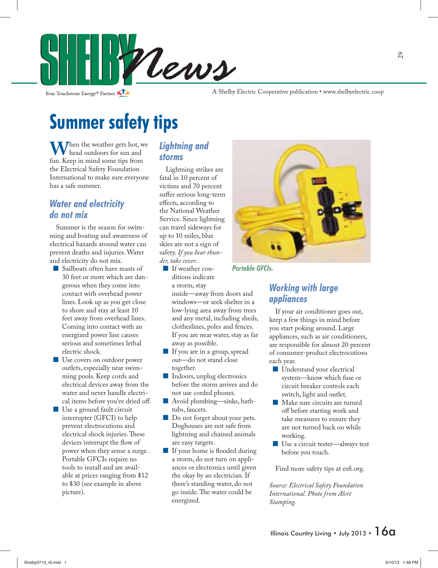

Your Touchstone Energy<sup>®</sup> Partner

A Shelby Electric Cooperative publication • www.shelbyelectric.coop

### **Summer safety tips**

**W**hen the weather gets hot, we head outdoors for sun and fun. Keep in mind some tips from the Electrical Safety Foundation International to make sure everyone has a safe summer.

### *Water and electricity do not mix*

 Summer is the season for swimming and boating and awareness of electrical hazards around water can prevent deaths and injuries. Water and electricity do not mix.

- Sailboats often have masts of 30 feet or more which are dangerous when they come into contact with overhead power lines. Look up as you get close to shore and stay at least 10 feet away from overhead lines. Coming into contact with an energized power line causes serious and sometimes lethal electric shock.
- **Use covers on outdoor power** outlets, especially near swimming pools. Keep cords and electrical devices away from the water and never handle electrical items before you've dried off.
- Use a ground fault circuit interrupter (GFCI) to help prevent electrocutions and electrical shock injuries. These devices interrupt the flow of power when they sense a surge. Portable GFCIs require no tools to install and are available at prices ranging from \$12 to \$30 (see example in above picture).

#### *Lightning and storms*

 Lightning strikes are fatal in 10 percent of victims and 70 percent suffer serious long-term effects, according to the National Weather Service. Since lightning can travel sideways for up to 10 miles, blue skies are not a sign of safety. *If you hear thunder, take cover*.

 If weather conditions indicate a storm, stay

inside—away from doors and windows—or seek shelter in a low-lying area away from trees and any metal, including sheds, clotheslines, poles and fences. If you are near water, stay as far away as possible.

- If you are in a group, spread out—do not stand close together.
- **Indoors, unplug electronics** before the storm arrives and do not use corded phones.
- Avoid plumbing—sinks, bathtubs, faucets.
- Do not forget about your pets. Doghouses are not safe from lightning and chained animals are easy targets.
- If your home is flooded during a storm, do not turn on appliances or electronics until given the okay by an electrician. If there's standing water, do not go inside. The water could be energized.



*Portable GFCIs.*

#### *Working with large appliances*

 If your air conditioner goes out, keep a few things in mind before you start poking around. Large appliances, such as air conditioners, are responsible for almost 20 percent of consumer-product electrocutions each year.

- **Understand your electrical** system—know which fuse or circuit breaker controls each switch, light and outlet.
- Make sure circuits are turned off before starting work and take measures to ensure they are not turned back on while working.
- Use a circuit tester—always test before you touch.

Find more safety tips at esfi.org.

*Source: Electrical Safety Foundation International. Photo from Alert Stamping.*

### 29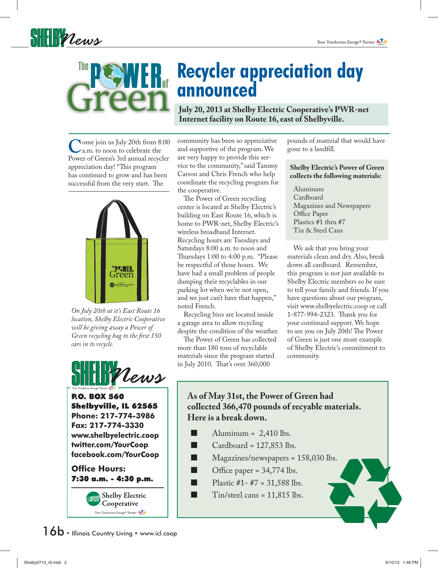



## **Recycler appreciation day announced**

**July 20, 2013 at Shelby Electric Cooperative's PWR-net Internet facility on Route 16, east of Shelbyville.**

**C**ome join us July 20th from 8:00 a.m. to noon to celebrate the Power of Green's 3rd annual recycler appreciation day! "This program has continued to grow and has been successful from the very start. The



*On July 20th at it's East Route 16 location, Shelby Electric Cooperative will be giving away a Power of Green recycling bag to the first 150 cars in to recycle.*



P.O. BOX 560 Shelbyville, IL 62565 **Phone: 217-774-3986 Fax: 217-774-3330 www.shelbyelectric.coop twitter.com/YourCoop facebook.com/YourCoop**

**Office Hours:** 7:30 a.m. - 4:30 p.m.

> **Shelby Electric** Cooperative Your Touchstone Energy<sup>®</sup> Partner

community has been so appreciative and supportive of the program. We are very happy to provide this service to the community," said Tammy Carson and Chris French who help coordinate the recycling program for the cooperative.

 The Power of Green recycling center is located at Shelby Electric's building on East Route 16, which is home to PWR-net, Shelby Electric's wireless broadband Internet. Recycling hours are Tuesdays and Saturdays 8:00 a.m. to noon and Thursdays 1:00 to 4:00 p.m. "Please be respectful of those hours. We have had a small problem of people dumping their recyclables in our parking lot when we're not open, and we just can't have that happen," noted French.

 Recycling bins are located inside a garage area to allow recycling despite the condition of the weather.

 The Power of Green has collected more than 180 tons of recyclable materials since the program started in July 2010. That's over 360,000

pounds of material that would have gone to a landfill.

#### **Shelby Electric's Power of Green collects the following materials:**

 Aluminum Cardboard Magazines and Newspapers Office Paper Plastics #1 thru #7 Tin & Steel Cans

 We ask that you bring your materials clean and dry. Also, break down all cardboard. Remember, this program is not just available to Shelby Electric members so be sure to tell your family and friends. If you have questions about our program, visit www.shelbyelectric.coop or call 1-877-994-2323. Thank you for your continued support. We hope to see you on July 20th! The Power of Green is just one more example of Shelby Electric's commitment to community.

### **As of May 31st, the Power of Green had collected 366,470 pounds of recyable materials. Here is a break down.**

- Aluminum =  $2,410$  lbs.
- Cardboard = 127,853 lbs.
- $\blacksquare$  Magazines/newspapers = 158,030 lbs.
- $\Box$  Office paper = 34,774 lbs.
	- Plastic  $#1 #7 = 31,588$  lbs.
- $\Box$  Tin/steel cans = 11,815 lbs.

 $16b \cdot$  Illinois Country Living  $\cdot$  www.icl.coop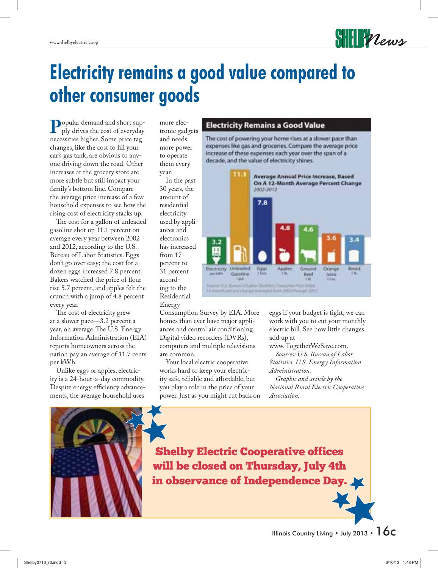## **Electricity remains a good value compared to other consumer goods**

**P**opular demand and short sup-ply drives the cost of everyday necessities higher. Some price tag changes, like the cost to fill your car's gas tank, are obvious to anyone driving down the road. Other increases at the grocery store are more subtle but still impact your family's bottom line. Compare the average price increase of a few household expenses to see how the rising cost of electricity stacks up.

 The cost for a gallon of unleaded gasoline shot up 11.1 percent on average every year between 2002 and 2012, according to the U.S. Bureau of Labor Statistics. Eggs don't go over easy; the cost for a dozen eggs increased 7.8 percent. Bakers watched the price of flour rise 5.7 percent, and apples felt the crunch with a jump of 4.8 percent every year.

 The cost of electricity grew at a slower pace—3.2 percent a year, on average. The U.S. Energy Information Administration (EIA) reports homeowners across the nation pay an average of 11.7 cents per kWh.

 Unlike eggs or apples, electricity is a 24-hour-a-day commodity. Despite energy efficiency advancements, the average household uses

more electronic gadgets and needs more power to operate them every year.

 In the past 30 years, the amount of residential electricity used by appliances and electronics has increased from 17 percent to 31 percent according to the Residential Energy

#### **Electricity Remains a Good Value**

The cost of powering your home rises at a slower pace than expenses like gas and groceries. Compare the average price increase of these expenses each year over the span of a decade, and the value of electricity shines.

**SHEIR Vews** 



Consumption Survey by EIA. More homes than ever have major appliances and central air conditioning. Digital video recorders (DVRs), computers and multiple televisions are common.

 Your local electric cooperative works hard to keep your electricity safe, reliable and affordable, but you play a role in the price of your power. Just as you might cut back on

eggs if your budget is tight, we can work with you to cut your monthly electric bill. See how little changes add up at

www. TogetherWeSave.com.  *Sources: U.S. Bureau of Labor Statistics, U.S. Energy Information* 

*Administration. Graphic and article by the* 

*National Rural Electric Cooperative Association.*